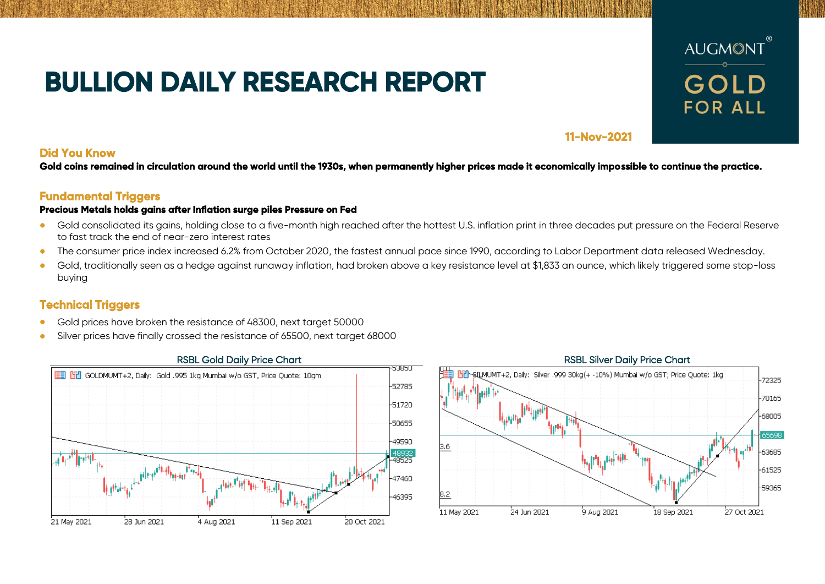# **BULLION DAILY RESEARCH REPORT**



## **11-Nov-2021**

## **Did You Know**

**Gold coins remained in circulation around the world until the 1930s, when permanently higher prices made it economically impossible to continue the practice.** 

## **Fundamental Triggers**

### **Precious Metals holds gains after Inflation surge piles Pressure on Fed**

- Gold consolidated its gains, holding close to a five-month high reached after the hottest U.S. inflation print in three decades put pressure on the Federal Reserve to fast track the end of near-zero interest rates
- The consumer price index increased 6.2% from October 2020, the fastest annual pace since 1990, according to Labor Department data released Wednesday.
- Gold, traditionally seen as a hedge against runaway inflation, had broken above a key resistance level at \$1,833 an ounce, which likely triggered some stop-loss buying

# **Technical Triggers**

- Gold prices have broken the resistance of 48300, next target 50000
- Silver prices have finally crossed the resistance of 65500, next target 68000